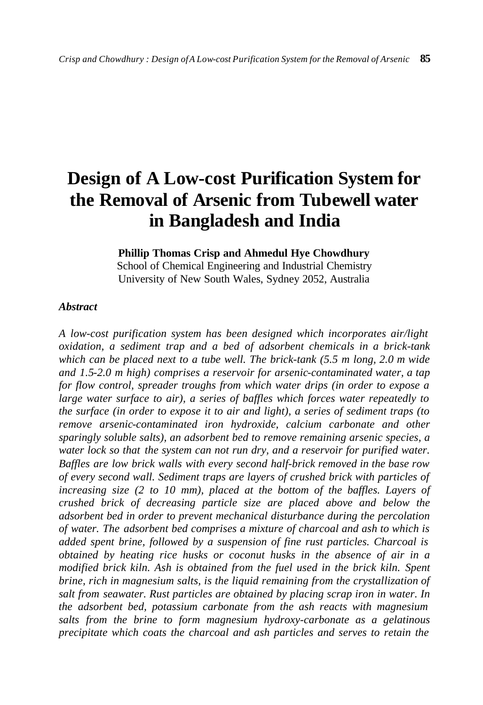# **Design of A Low-cost Purification System for the Removal of Arsenic from Tubewell water in Bangladesh and India**

## **Phillip Thomas Crisp and Ahmedul Hye Chowdhury**

School of Chemical Engineering and Industrial Chemistry University of New South Wales, Sydney 2052, Australia

#### *Abstract*

*A low-cost purification system has been designed which incorporates air/light oxidation, a sediment trap and a bed of adsorbent chemicals in a brick-tank which can be placed next to a tube well. The brick-tank (5.5 m long, 2.0 m wide and 1.5-2.0 m high) comprises a reservoir for arsenic-contaminated water, a tap for flow control, spreader troughs from which water drips (in order to expose a large water surface to air), a series of baffles which forces water repeatedly to the surface (in order to expose it to air and light), a series of sediment traps (to remove arsenic-contaminated iron hydroxide, calcium carbonate and other sparingly soluble salts), an adsorbent bed to remove remaining arsenic species, a*  water lock so that the system can not run dry, and a reservoir for purified water. *Baffles are low brick walls with every second half-brick removed in the base row of every second wall. Sediment traps are layers of crushed brick with particles of increasing size (2 to 10 mm), placed at the bottom of the baffles. Layers of crushed brick of decreasing particle size are placed above and below the adsorbent bed in order to prevent mechanical disturbance during the percolation of water. The adsorbent bed comprises a mixture of charcoal and ash to which is added spent brine, followed by a suspension of fine rust particles. Charcoal is obtained by heating rice husks or coconut husks in the absence of air in a modified brick kiln. Ash is obtained from the fuel used in the brick kiln. Spent brine, rich in magnesium salts, is the liquid remaining from the crystallization of salt from seawater. Rust particles are obtained by placing scrap iron in water. In the adsorbent bed, potassium carbonate from the ash reacts with magnesium salts from the brine to form magnesium hydroxy-carbonate as a gelatinous precipitate which coats the charcoal and ash particles and serves to retain the*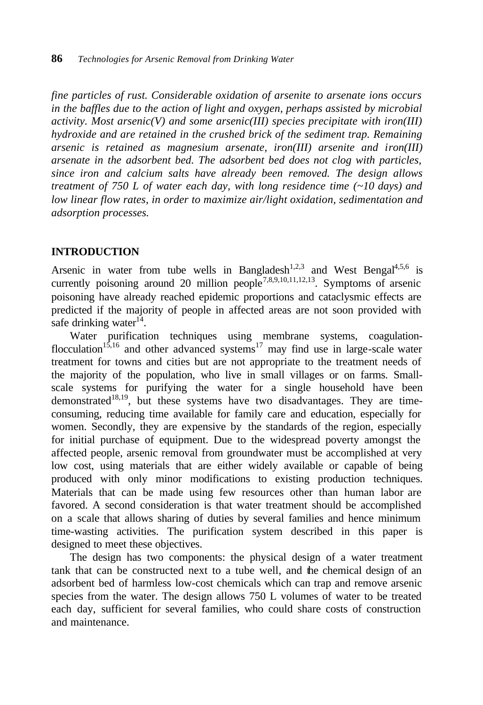*fine particles of rust. Considerable oxidation of arsenite to arsenate ions occurs in the baffles due to the action of light and oxygen, perhaps assisted by microbial activity. Most arsenic(V) and some arsenic(III) species precipitate with iron(III) hydroxide and are retained in the crushed brick of the sediment trap. Remaining arsenic is retained as magnesium arsenate, iron(III) arsenite and iron(III) arsenate in the adsorbent bed. The adsorbent bed does not clog with particles, since iron and calcium salts have already been removed. The design allows treatment of 750 L of water each day, with long residence time (~10 days) and low linear flow rates, in order to maximize air/light oxidation, sedimentation and adsorption processes.*

#### **INTRODUCTION**

Arsenic in water from tube wells in Bangladesh<sup>1,2,3</sup> and West Bengal<sup>4,5,6</sup> is currently poisoning around 20 million people<sup>7,8,9,10,11,12,13</sup>. Symptoms of arsenic poisoning have already reached epidemic proportions and cataclysmic effects are predicted if the majority of people in affected areas are not soon provided with safe drinking water $14$ .

Water purification techniques using membrane systems, coagulationflocculation<sup>15,16</sup> and other advanced systems<sup>17</sup> may find use in large-scale water treatment for towns and cities but are not appropriate to the treatment needs of the majority of the population, who live in small villages or on farms. Smallscale systems for purifying the water for a single household have been demonstrated<sup>18,19</sup>, but these systems have two disadvantages. They are timeconsuming, reducing time available for family care and education, especially for women. Secondly, they are expensive by the standards of the region, especially for initial purchase of equipment. Due to the widespread poverty amongst the affected people, arsenic removal from groundwater must be accomplished at very low cost, using materials that are either widely available or capable of being produced with only minor modifications to existing production techniques. Materials that can be made using few resources other than human labor are favored. A second consideration is that water treatment should be accomplished on a scale that allows sharing of duties by several families and hence minimum time-wasting activities. The purification system described in this paper is designed to meet these objectives.

The design has two components: the physical design of a water treatment tank that can be constructed next to a tube well, and the chemical design of an adsorbent bed of harmless low-cost chemicals which can trap and remove arsenic species from the water. The design allows 750 L volumes of water to be treated each day, sufficient for several families, who could share costs of construction and maintenance.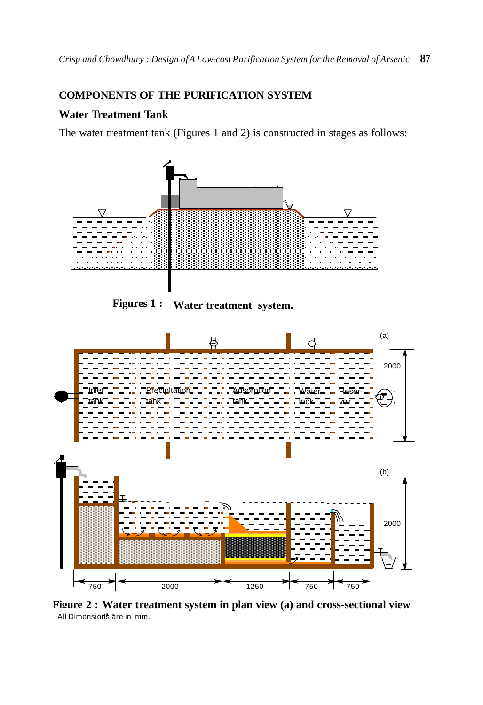## **COMPONENTS OF THE PURIFICATION SYSTEM**

## **Water Treatment Tank**

The water treatment tank (Figures 1 and 2) is constructed in stages as follows:



**Figures 1 : Water treatment system.**



**Figure 2 : Water treatment system in plan view (a) and cross-sectional view**  All Dimensions are in mm.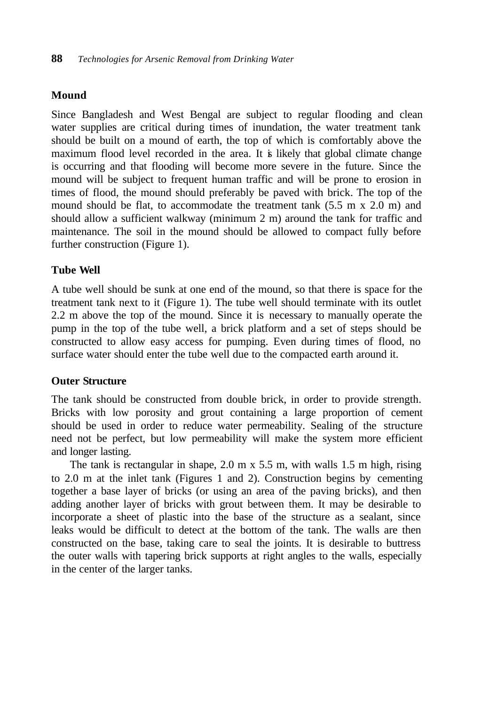## **Mound**

Since Bangladesh and West Bengal are subject to regular flooding and clean water supplies are critical during times of inundation, the water treatment tank should be built on a mound of earth, the top of which is comfortably above the maximum flood level recorded in the area. It is likely that global climate change is occurring and that flooding will become more severe in the future. Since the mound will be subject to frequent human traffic and will be prone to erosion in times of flood, the mound should preferably be paved with brick. The top of the mound should be flat, to accommodate the treatment tank (5.5 m x 2.0 m) and should allow a sufficient walkway (minimum 2 m) around the tank for traffic and maintenance. The soil in the mound should be allowed to compact fully before further construction (Figure 1).

## **Tube Well**

A tube well should be sunk at one end of the mound, so that there is space for the treatment tank next to it (Figure 1). The tube well should terminate with its outlet 2.2 m above the top of the mound. Since it is necessary to manually operate the pump in the top of the tube well, a brick platform and a set of steps should be constructed to allow easy access for pumping. Even during times of flood, no surface water should enter the tube well due to the compacted earth around it.

#### **Outer Structure**

The tank should be constructed from double brick, in order to provide strength. Bricks with low porosity and grout containing a large proportion of cement should be used in order to reduce water permeability. Sealing of the structure need not be perfect, but low permeability will make the system more efficient and longer lasting.

The tank is rectangular in shape, 2.0 m x 5.5 m, with walls 1.5 m high, rising to 2.0 m at the inlet tank (Figures 1 and 2). Construction begins by cementing together a base layer of bricks (or using an area of the paving bricks), and then adding another layer of bricks with grout between them. It may be desirable to incorporate a sheet of plastic into the base of the structure as a sealant, since leaks would be difficult to detect at the bottom of the tank. The walls are then constructed on the base, taking care to seal the joints. It is desirable to buttress the outer walls with tapering brick supports at right angles to the walls, especially in the center of the larger tanks.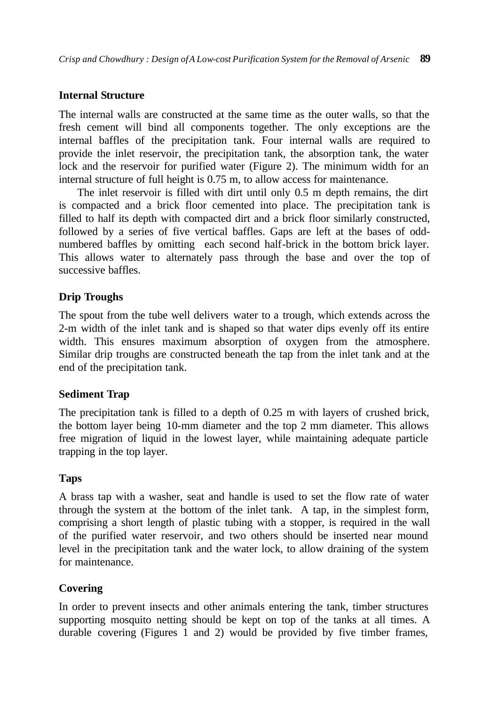## **Internal Structure**

The internal walls are constructed at the same time as the outer walls, so that the fresh cement will bind all components together. The only exceptions are the internal baffles of the precipitation tank. Four internal walls are required to provide the inlet reservoir, the precipitation tank, the absorption tank, the water lock and the reservoir for purified water (Figure 2). The minimum width for an internal structure of full height is 0.75 m, to allow access for maintenance.

The inlet reservoir is filled with dirt until only 0.5 m depth remains, the dirt is compacted and a brick floor cemented into place. The precipitation tank is filled to half its depth with compacted dirt and a brick floor similarly constructed, followed by a series of five vertical baffles. Gaps are left at the bases of oddnumbered baffles by omitting each second half-brick in the bottom brick layer. This allows water to alternately pass through the base and over the top of successive baffles.

## **Drip Troughs**

The spout from the tube well delivers water to a trough, which extends across the 2-m width of the inlet tank and is shaped so that water dips evenly off its entire width. This ensures maximum absorption of oxygen from the atmosphere. Similar drip troughs are constructed beneath the tap from the inlet tank and at the end of the precipitation tank.

## **Sediment Trap**

The precipitation tank is filled to a depth of 0.25 m with layers of crushed brick, the bottom layer being 10-mm diameter and the top 2 mm diameter. This allows free migration of liquid in the lowest layer, while maintaining adequate particle trapping in the top layer.

#### **Taps**

A brass tap with a washer, seat and handle is used to set the flow rate of water through the system at the bottom of the inlet tank. A tap, in the simplest form, comprising a short length of plastic tubing with a stopper, is required in the wall of the purified water reservoir, and two others should be inserted near mound level in the precipitation tank and the water lock, to allow draining of the system for maintenance.

## **Covering**

In order to prevent insects and other animals entering the tank, timber structures supporting mosquito netting should be kept on top of the tanks at all times. A durable covering (Figures 1 and 2) would be provided by five timber frames,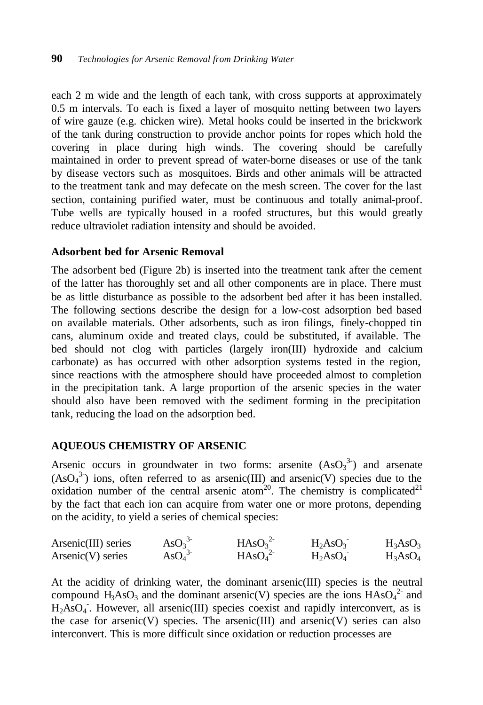each 2 m wide and the length of each tank, with cross supports at approximately 0.5 m intervals. To each is fixed a layer of mosquito netting between two layers of wire gauze (e.g. chicken wire). Metal hooks could be inserted in the brickwork of the tank during construction to provide anchor points for ropes which hold the covering in place during high winds. The covering should be carefully maintained in order to prevent spread of water-borne diseases or use of the tank by disease vectors such as mosquitoes. Birds and other animals will be attracted to the treatment tank and may defecate on the mesh screen. The cover for the last section, containing purified water, must be continuous and totally animal-proof. Tube wells are typically housed in a roofed structures, but this would greatly reduce ultraviolet radiation intensity and should be avoided.

#### **Adsorbent bed for Arsenic Removal**

The adsorbent bed (Figure 2b) is inserted into the treatment tank after the cement of the latter has thoroughly set and all other components are in place. There must be as little disturbance as possible to the adsorbent bed after it has been installed. The following sections describe the design for a low-cost adsorption bed based on available materials. Other adsorbents, such as iron filings, finely-chopped tin cans, aluminum oxide and treated clays, could be substituted, if available. The bed should not clog with particles (largely iron(III) hydroxide and calcium carbonate) as has occurred with other adsorption systems tested in the region, since reactions with the atmosphere should have proceeded almost to completion in the precipitation tank. A large proportion of the arsenic species in the water should also have been removed with the sediment forming in the precipitation tank, reducing the load on the adsorption bed.

#### **AQUEOUS CHEMISTRY OF ARSENIC**

Arsenic occurs in groundwater in two forms: arsenite  $(AsO<sub>3</sub><sup>3</sup>)$  and arsenate  $(AsO<sub>4</sub><sup>3</sup>)$  ions, often referred to as arsenic(III) and arsenic(V) species due to the oxidation number of the central arsenic atom<sup>20</sup>. The chemistry is complicated<sup>21</sup> by the fact that each ion can acquire from water one or more protons, depending on the acidity, to yield a series of chemical species:

| Arsenic(III) series | $\text{AsO}_3^3$             | HAsO <sub>3</sub> <sup>2</sup> | $H_2AsO_3$ | $H_3AsO_3$ |
|---------------------|------------------------------|--------------------------------|------------|------------|
| $Arsenic(V)$ series | $\text{AsO}_4$ <sup>3-</sup> | HAsO <sub>4</sub> <sup>2</sup> | $H_2ASO_4$ | $H_3AsO_4$ |

At the acidity of drinking water, the dominant arsenic(III) species is the neutral compound  $H_3AsO_3$  and the dominant arsenic(V) species are the ions  $HAsO<sub>4</sub><sup>2</sup>$  and H<sub>2</sub>AsO<sub>4</sub>. However, all arsenic(III) species coexist and rapidly interconvert, as is the case for arsenic(V) species. The arsenic(III) and arsenic(V) series can also interconvert. This is more difficult since oxidation or reduction processes are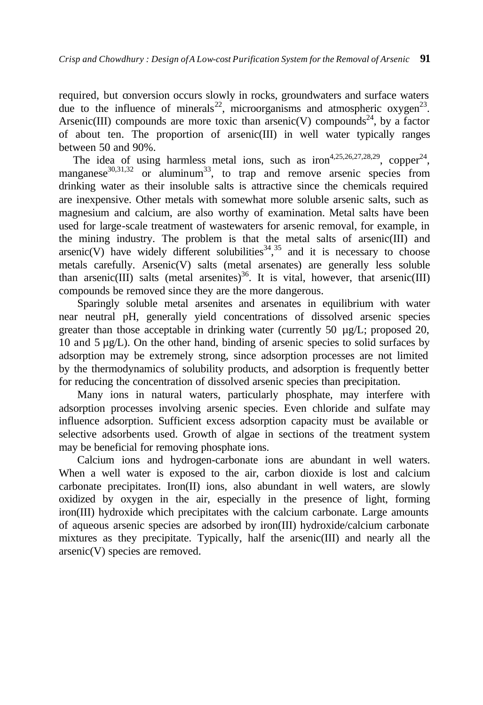required, but conversion occurs slowly in rocks, groundwaters and surface waters due to the influence of minerals<sup>22</sup>, microorganisms and atmospheric oxygen<sup>23</sup>. Arsenic(III) compounds are more toxic than arsenic(V) compounds<sup>24</sup>, by a factor of about ten. The proportion of arsenic(III) in well water typically ranges between 50 and 90%.

The idea of using harmless metal ions, such as iron<sup>4,25,26,27,28,29</sup>, copper<sup>24</sup>, manganese<sup>30,31,32</sup> or aluminum<sup>33</sup>, to trap and remove arsenic species from drinking water as their insoluble salts is attractive since the chemicals required are inexpensive. Other metals with somewhat more soluble arsenic salts, such as magnesium and calcium, are also worthy of examination. Metal salts have been used for large-scale treatment of wastewaters for arsenic removal, for example, in the mining industry. The problem is that the metal salts of arsenic(III) and  $\arcsin(V)$  have widely different solubilities<sup>34, 35</sup> and it is necessary to choose metals carefully. Arsenic(V) salts (metal arsenates) are generally less soluble than arsenic(III) salts (metal arsenites)<sup>36</sup>. It is vital, however, that arsenic(III) compounds be removed since they are the more dangerous.

Sparingly soluble metal arsenites and arsenates in equilibrium with water near neutral pH, generally yield concentrations of dissolved arsenic species greater than those acceptable in drinking water (currently 50 µg/L; proposed 20, 10 and 5 µg/L). On the other hand, binding of arsenic species to solid surfaces by adsorption may be extremely strong, since adsorption processes are not limited by the thermodynamics of solubility products, and adsorption is frequently better for reducing the concentration of dissolved arsenic species than precipitation.

Many ions in natural waters, particularly phosphate, may interfere with adsorption processes involving arsenic species. Even chloride and sulfate may influence adsorption. Sufficient excess adsorption capacity must be available or selective adsorbents used. Growth of algae in sections of the treatment system may be beneficial for removing phosphate ions.

Calcium ions and hydrogen-carbonate ions are abundant in well waters. When a well water is exposed to the air, carbon dioxide is lost and calcium carbonate precipitates. Iron(II) ions, also abundant in well waters, are slowly oxidized by oxygen in the air, especially in the presence of light, forming iron(III) hydroxide which precipitates with the calcium carbonate. Large amounts of aqueous arsenic species are adsorbed by iron(III) hydroxide/calcium carbonate mixtures as they precipitate. Typically, half the arsenic(III) and nearly all the arsenic(V) species are removed.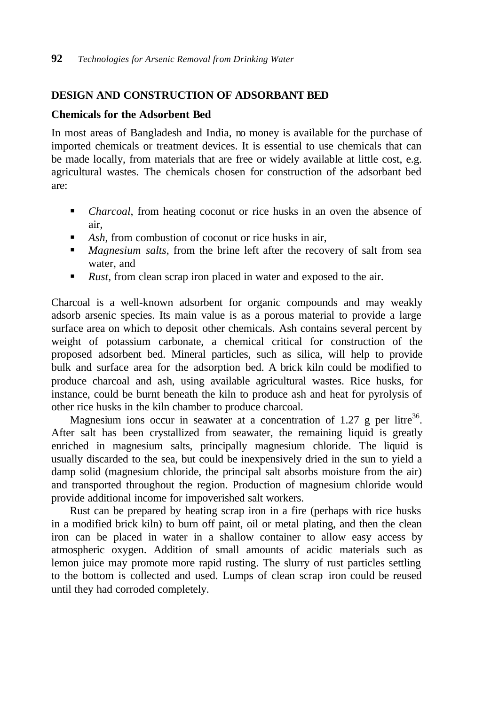## **DESIGN AND CONSTRUCTION OF ADSORBANT BED**

#### **Chemicals for the Adsorbent Bed**

In most areas of Bangladesh and India, no money is available for the purchase of imported chemicals or treatment devices. It is essential to use chemicals that can be made locally, from materials that are free or widely available at little cost, e.g. agricultural wastes. The chemicals chosen for construction of the adsorbant bed are:

- *Charcoal*, from heating coconut or rice husks in an oven the absence of air,
- **Ash, from combustion of coconut or rice husks in air,**
- **Magnesium salts, from the brine left after the recovery of salt from sea** water, and
- Rust, from clean scrap iron placed in water and exposed to the air.

Charcoal is a well-known adsorbent for organic compounds and may weakly adsorb arsenic species. Its main value is as a porous material to provide a large surface area on which to deposit other chemicals. Ash contains several percent by weight of potassium carbonate, a chemical critical for construction of the proposed adsorbent bed. Mineral particles, such as silica, will help to provide bulk and surface area for the adsorption bed. A brick kiln could be modified to produce charcoal and ash, using available agricultural wastes. Rice husks, for instance, could be burnt beneath the kiln to produce ash and heat for pyrolysis of other rice husks in the kiln chamber to produce charcoal.

Magnesium ions occur in seawater at a concentration of 1.27 g per litre<sup>36</sup>. After salt has been crystallized from seawater, the remaining liquid is greatly enriched in magnesium salts, principally magnesium chloride. The liquid is usually discarded to the sea, but could be inexpensively dried in the sun to yield a damp solid (magnesium chloride, the principal salt absorbs moisture from the air) and transported throughout the region. Production of magnesium chloride would provide additional income for impoverished salt workers.

Rust can be prepared by heating scrap iron in a fire (perhaps with rice husks in a modified brick kiln) to burn off paint, oil or metal plating, and then the clean iron can be placed in water in a shallow container to allow easy access by atmospheric oxygen. Addition of small amounts of acidic materials such as lemon juice may promote more rapid rusting. The slurry of rust particles settling to the bottom is collected and used. Lumps of clean scrap iron could be reused until they had corroded completely.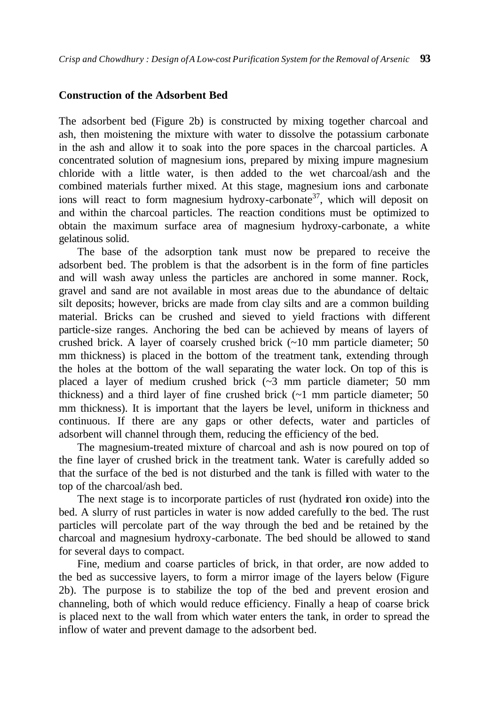#### **Construction of the Adsorbent Bed**

The adsorbent bed (Figure 2b) is constructed by mixing together charcoal and ash, then moistening the mixture with water to dissolve the potassium carbonate in the ash and allow it to soak into the pore spaces in the charcoal particles. A concentrated solution of magnesium ions, prepared by mixing impure magnesium chloride with a little water, is then added to the wet charcoal/ash and the combined materials further mixed. At this stage, magnesium ions and carbonate ions will react to form magnesium hydroxy-carbonate<sup>37</sup>, which will deposit on and within the charcoal particles. The reaction conditions must be optimized to obtain the maximum surface area of magnesium hydroxy-carbonate, a white gelatinous solid.

The base of the adsorption tank must now be prepared to receive the adsorbent bed. The problem is that the adsorbent is in the form of fine particles and will wash away unless the particles are anchored in some manner. Rock, gravel and sand are not available in most areas due to the abundance of deltaic silt deposits; however, bricks are made from clay silts and are a common building material. Bricks can be crushed and sieved to yield fractions with different particle-size ranges. Anchoring the bed can be achieved by means of layers of crushed brick. A layer of coarsely crushed brick (~10 mm particle diameter; 50 mm thickness) is placed in the bottom of the treatment tank, extending through the holes at the bottom of the wall separating the water lock. On top of this is placed a layer of medium crushed brick (~3 mm particle diameter; 50 mm thickness) and a third layer of fine crushed brick  $(-1)$  mm particle diameter; 50 mm thickness). It is important that the layers be level, uniform in thickness and continuous. If there are any gaps or other defects, water and particles of adsorbent will channel through them, reducing the efficiency of the bed.

The magnesium-treated mixture of charcoal and ash is now poured on top of the fine layer of crushed brick in the treatment tank. Water is carefully added so that the surface of the bed is not disturbed and the tank is filled with water to the top of the charcoal/ash bed.

The next stage is to incorporate particles of rust (hydrated iron oxide) into the bed. A slurry of rust particles in water is now added carefully to the bed. The rust particles will percolate part of the way through the bed and be retained by the charcoal and magnesium hydroxy-carbonate. The bed should be allowed to stand for several days to compact.

Fine, medium and coarse particles of brick, in that order, are now added to the bed as successive layers, to form a mirror image of the layers below (Figure 2b). The purpose is to stabilize the top of the bed and prevent erosion and channeling, both of which would reduce efficiency. Finally a heap of coarse brick is placed next to the wall from which water enters the tank, in order to spread the inflow of water and prevent damage to the adsorbent bed.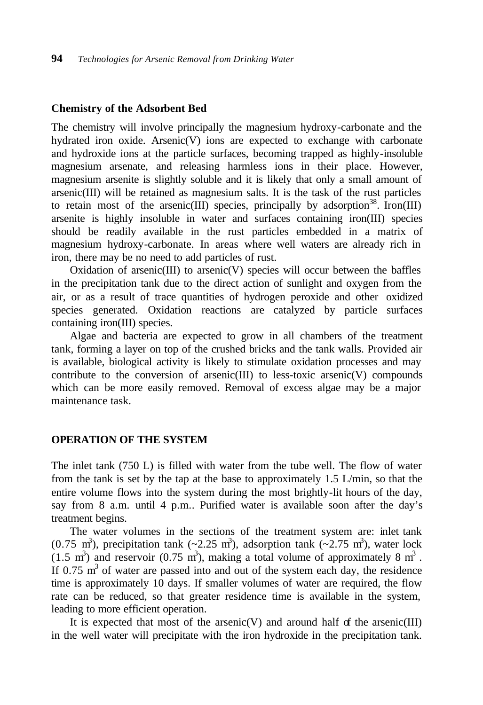#### **Chemistry of the Adsorbent Bed**

The chemistry will involve principally the magnesium hydroxy-carbonate and the hydrated iron oxide. Arsenic(V) ions are expected to exchange with carbonate and hydroxide ions at the particle surfaces, becoming trapped as highly-insoluble magnesium arsenate, and releasing harmless ions in their place. However, magnesium arsenite is slightly soluble and it is likely that only a small amount of arsenic(III) will be retained as magnesium salts. It is the task of the rust particles to retain most of the arsenic(III) species, principally by adsorption<sup>38</sup>. Iron(III) arsenite is highly insoluble in water and surfaces containing iron(III) species should be readily available in the rust particles embedded in a matrix of magnesium hydroxy-carbonate. In areas where well waters are already rich in iron, there may be no need to add particles of rust.

Oxidation of arsenic(III) to arsenic(V) species will occur between the baffles in the precipitation tank due to the direct action of sunlight and oxygen from the air, or as a result of trace quantities of hydrogen peroxide and other oxidized species generated. Oxidation reactions are catalyzed by particle surfaces containing iron(III) species.

Algae and bacteria are expected to grow in all chambers of the treatment tank, forming a layer on top of the crushed bricks and the tank walls. Provided air is available, biological activity is likely to stimulate oxidation processes and may contribute to the conversion of arsenic(III) to less-toxic arsenic(V) compounds which can be more easily removed. Removal of excess algae may be a major maintenance task.

#### **OPERATION OF THE SYSTEM**

The inlet tank (750 L) is filled with water from the tube well. The flow of water from the tank is set by the tap at the base to approximately 1.5 L/min, so that the entire volume flows into the system during the most brightly-lit hours of the day, say from 8 a.m. until 4 p.m.. Purified water is available soon after the day's treatment begins.

The water volumes in the sections of the treatment system are: inlet tank  $(0.75 \text{ m}^3)$ , precipitation tank  $(\sim 2.25 \text{ m}^3)$ , adsorption tank  $(\sim 2.75 \text{ m}^3)$ , water lock  $(1.5 \text{ m}^3)$  and reservoir  $(0.75 \text{ m}^3)$ , making a total volume of approximately 8 m<sup>3</sup>. If  $0.75 \text{ m}^3$  of water are passed into and out of the system each day, the residence time is approximately 10 days. If smaller volumes of water are required, the flow rate can be reduced, so that greater residence time is available in the system, leading to more efficient operation.

It is expected that most of the arsenic(V) and around half of the arsenic(III) in the well water will precipitate with the iron hydroxide in the precipitation tank.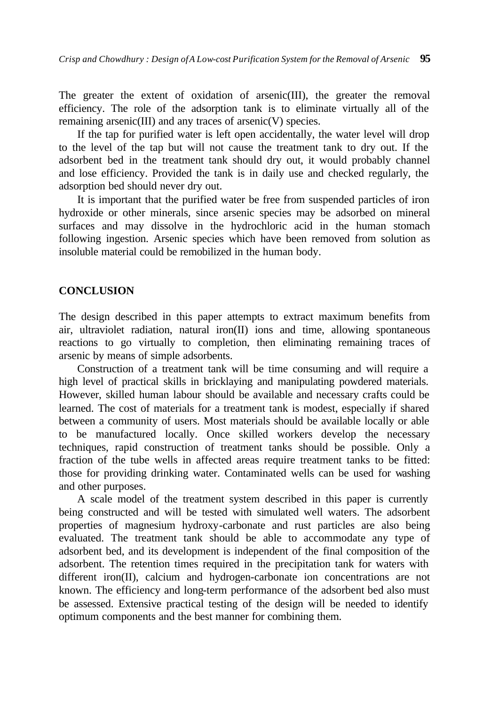The greater the extent of oxidation of arsenic(III), the greater the removal efficiency. The role of the adsorption tank is to eliminate virtually all of the remaining arsenic(III) and any traces of arsenic(V) species.

If the tap for purified water is left open accidentally, the water level will drop to the level of the tap but will not cause the treatment tank to dry out. If the adsorbent bed in the treatment tank should dry out, it would probably channel and lose efficiency. Provided the tank is in daily use and checked regularly, the adsorption bed should never dry out.

It is important that the purified water be free from suspended particles of iron hydroxide or other minerals, since arsenic species may be adsorbed on mineral surfaces and may dissolve in the hydrochloric acid in the human stomach following ingestion. Arsenic species which have been removed from solution as insoluble material could be remobilized in the human body.

## **CONCLUSION**

The design described in this paper attempts to extract maximum benefits from air, ultraviolet radiation, natural iron(II) ions and time, allowing spontaneous reactions to go virtually to completion, then eliminating remaining traces of arsenic by means of simple adsorbents.

Construction of a treatment tank will be time consuming and will require a high level of practical skills in bricklaying and manipulating powdered materials. However, skilled human labour should be available and necessary crafts could be learned. The cost of materials for a treatment tank is modest, especially if shared between a community of users. Most materials should be available locally or able to be manufactured locally. Once skilled workers develop the necessary techniques, rapid construction of treatment tanks should be possible. Only a fraction of the tube wells in affected areas require treatment tanks to be fitted: those for providing drinking water. Contaminated wells can be used for washing and other purposes.

A scale model of the treatment system described in this paper is currently being constructed and will be tested with simulated well waters. The adsorbent properties of magnesium hydroxy-carbonate and rust particles are also being evaluated. The treatment tank should be able to accommodate any type of adsorbent bed, and its development is independent of the final composition of the adsorbent. The retention times required in the precipitation tank for waters with different iron(II), calcium and hydrogen-carbonate ion concentrations are not known. The efficiency and long-term performance of the adsorbent bed also must be assessed. Extensive practical testing of the design will be needed to identify optimum components and the best manner for combining them.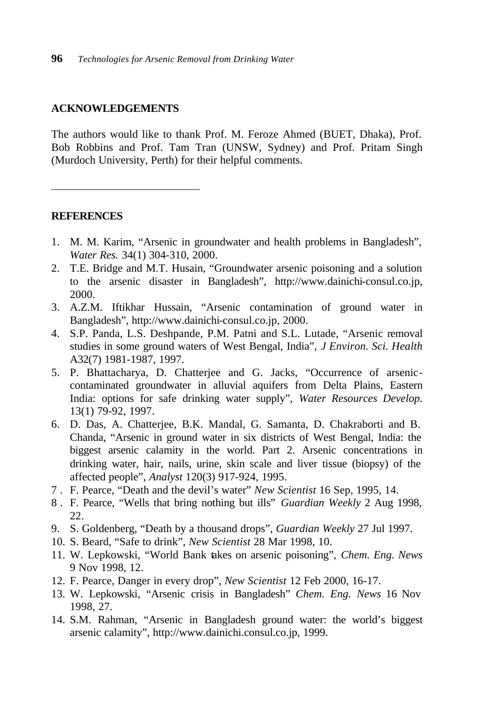#### **ACKNOWLEDGEMENTS**

The authors would like to thank Prof. M. Feroze Ahmed (BUET, Dhaka), Prof. Bob Robbins and Prof. Tam Tran (UNSW, Sydney) and Prof. Pritam Singh (Murdoch University, Perth) for their helpful comments.

#### **REFERENCES**

 $\overline{a}$ 

- 1. M. M. Karim, "Arsenic in groundwater and health problems in Bangladesh", *Water Res.* 34(1) 304-310, 2000.
- 2. T.E. Bridge and M.T. Husain, "Groundwater arsenic poisoning and a solution to the arsenic disaster in Bangladesh", http://www.dainichi-consul.co.jp, 2000.
- 3. A.Z.M. Iftikhar Hussain, "Arsenic contamination of ground water in Bangladesh", http://www.dainichi-consul.co.jp, 2000.
- 4. S.P. Panda, L.S. Deshpande, P.M. Patni and S.L. Lutade, "Arsenic removal studies in some ground waters of West Bengal, India", *J Environ. Sci. Health* A32(7) 1981-1987, 1997.
- 5. P. Bhattacharya, D. Chatterjee and G. Jacks, "Occurrence of arseniccontaminated groundwater in alluvial aquifers from Delta Plains, Eastern India: options for safe drinking water supply", *Water Resources Develop.* 13(1) 79-92, 1997.
- 6. D. Das, A. Chatterjee, B.K. Mandal, G. Samanta, D. Chakraborti and B. Chanda, "Arsenic in ground water in six districts of West Bengal, India: the biggest arsenic calamity in the world. Part 2. Arsenic concentrations in drinking water, hair, nails, urine, skin scale and liver tissue (biopsy) of the affected people", *Analyst* 120(3) 917-924, 1995.
- 7 . F. Pearce, "Death and the devil's water" *New Scientist* 16 Sep, 1995, 14.
- 8 . F. Pearce, "Wells that bring nothing but ills" *Guardian Weekly* 2 Aug 1998, 22.
- 9. S. Goldenberg, "Death by a thousand drops", *Guardian Weekly* 27 Jul 1997.
- 10. S. Beard, "Safe to drink", *New Scientist* 28 Mar 1998, 10.
- 11. W. Lepkowski, "World Bank takes on arsenic poisoning", *Chem. Eng. News* 9 Nov 1998, 12.
- 12. F. Pearce, Danger in every drop", *New Scientist* 12 Feb 2000, 16-17.
- 13. W. Lepkowski, "Arsenic crisis in Bangladesh" *Chem. Eng. News* 16 Nov 1998, 27.
- 14. S.M. Rahman, "Arsenic in Bangladesh ground water: the world's biggest arsenic calamity", http://www.dainichi.consul.co.jp, 1999.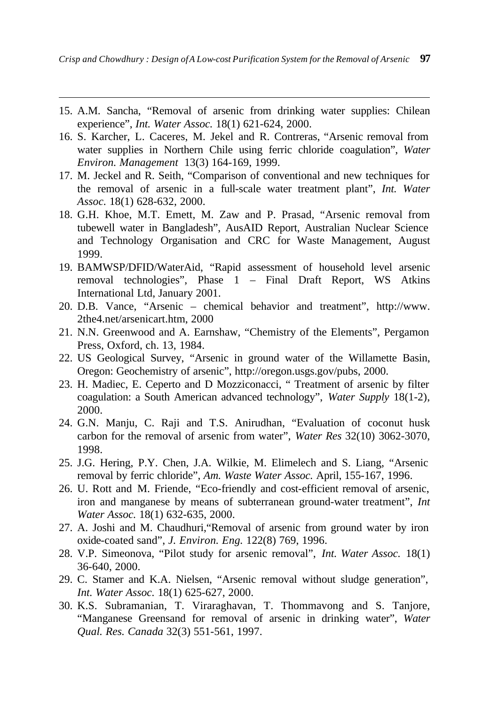15. A.M. Sancha, "Removal of arsenic from drinking water supplies: Chilean experience", *Int. Water Assoc.* 18(1) 621-624, 2000.

 $\overline{a}$ 

- 16. S. Karcher, L. Caceres, M. Jekel and R. Contreras, "Arsenic removal from water supplies in Northern Chile using ferric chloride coagulation", *Water Environ. Management* 13(3) 164-169, 1999.
- 17. M. Jeckel and R. Seith, "Comparison of conventional and new techniques for the removal of arsenic in a full-scale water treatment plant", *Int. Water Assoc.* 18(1) 628-632, 2000.
- 18. G.H. Khoe, M.T. Emett, M. Zaw and P. Prasad, "Arsenic removal from tubewell water in Bangladesh", AusAID Report, Australian Nuclear Science and Technology Organisation and CRC for Waste Management, August 1999.
- 19. BAMWSP/DFID/WaterAid, "Rapid assessment of household level arsenic removal technologies", Phase 1 – Final Draft Report, WS Atkins International Ltd, January 2001.
- 20. D.B. Vance, "Arsenic chemical behavior and treatment", http://www. 2the4.net/arsenicart.htm, 2000
- 21. N.N. Greenwood and A. Earnshaw, "Chemistry of the Elements", Pergamon Press, Oxford, ch. 13, 1984.
- 22. US Geological Survey, "Arsenic in ground water of the Willamette Basin, Oregon: Geochemistry of arsenic", http://oregon.usgs.gov/pubs, 2000.
- 23. H. Madiec, E. Ceperto and D Mozziconacci, " Treatment of arsenic by filter coagulation: a South American advanced technology", *Water Supply* 18(1-2), 2000.
- 24. G.N. Manju, C. Raji and T.S. Anirudhan, "Evaluation of coconut husk carbon for the removal of arsenic from water", *Water Res* 32(10) 3062-3070, 1998.
- 25. J.G. Hering, P.Y. Chen, J.A. Wilkie, M. Elimelech and S. Liang, "Arsenic removal by ferric chloride", *Am. Waste Water Assoc.* April, 155-167, 1996.
- 26. U. Rott and M. Friende, "Eco-friendly and cost-efficient removal of arsenic, iron and manganese by means of subterranean ground-water treatment", *Int Water Assoc.* 18(1) 632-635, 2000.
- 27. A. Joshi and M. Chaudhuri,"Removal of arsenic from ground water by iron oxide-coated sand", *J. Environ. Eng.* 122(8) 769, 1996.
- 28. V.P. Simeonova, "Pilot study for arsenic removal", *Int. Water Assoc.* 18(1) 36-640, 2000.
- 29. C. Stamer and K.A. Nielsen, "Arsenic removal without sludge generation", *Int. Water Assoc.* 18(1) 625-627, 2000.
- 30. K.S. Subramanian, T. Viraraghavan, T. Thommavong and S. Tanjore, "Manganese Greensand for removal of arsenic in drinking water", *Water Qual. Res. Canada* 32(3) 551-561, 1997.